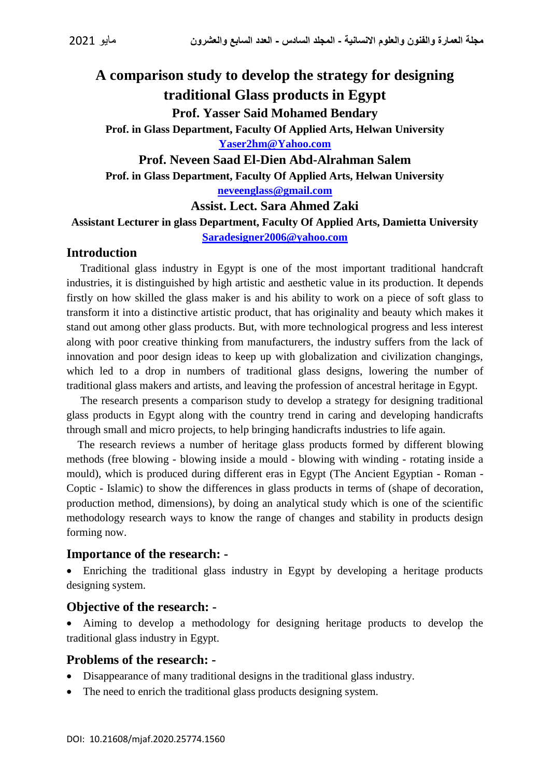# **A comparison study to develop the strategy for designing traditional Glass products in Egypt Prof. Yasser Said Mohamed Bendary**

**Prof. in Glass Department, Faculty Of Applied Arts, Helwan University [Yaser2hm@Yahoo.com](mailto:Yaser2hm@Yahoo.com)**

**Prof. Neveen Saad El-Dien Abd-Alrahman Salem Prof. in Glass Department, Faculty Of Applied Arts, Helwan University [neveenglass@gmail.com](mailto:neveenglass@gmail.com)**

**Assist. Lect. Sara Ahmed Zaki**

**Assistant Lecturer in glass Department, Faculty Of Applied Arts, Damietta University [Saradesigner2006@yahoo.com](mailto:Saradesigner2006@yahoo.com)**

# **Introduction**

 Traditional glass industry in Egypt is one of the most important traditional handcraft industries, it is distinguished by high artistic and aesthetic value in its production. It depends firstly on how skilled the glass maker is and his ability to work on a piece of soft glass to transform it into a distinctive artistic product, that has originality and beauty which makes it stand out among other glass products. But, with more technological progress and less interest along with poor creative thinking from manufacturers, the industry suffers from the lack of innovation and poor design ideas to keep up with globalization and civilization changings, which led to a drop in numbers of traditional glass designs, lowering the number of traditional glass makers and artists, and leaving the profession of ancestral heritage in Egypt.

 The research presents a comparison study to develop a strategy for designing traditional glass products in Egypt along with the country trend in caring and developing handicrafts through small and micro projects, to help bringing handicrafts industries to life again.

 The research reviews a number of heritage glass products formed by different blowing methods (free blowing - blowing inside a mould - blowing with winding - rotating inside a mould), which is produced during different eras in Egypt (The Ancient Egyptian - Roman - Coptic - Islamic) to show the differences in glass products in terms of (shape of decoration, production method, dimensions), by doing an analytical study which is one of the scientific methodology research ways to know the range of changes and stability in products design forming now.

#### **Importance of the research: -**

 Enriching the traditional glass industry in Egypt by developing a heritage products designing system.

# **Objective of the research: -**

 Aiming to develop a methodology for designing heritage products to develop the traditional glass industry in Egypt.

#### **Problems of the research: -**

- Disappearance of many traditional designs in the traditional glass industry.
- The need to enrich the traditional glass products designing system.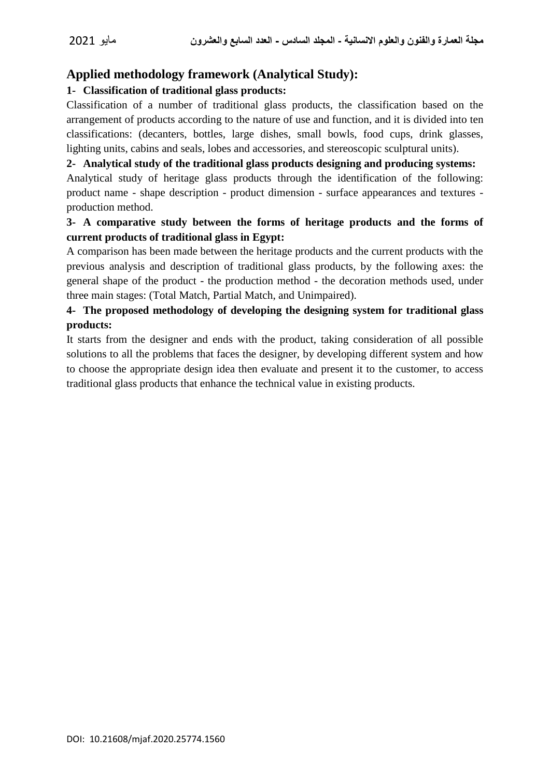# **Applied methodology framework (Analytical Study):**

#### **1- Classification of traditional glass products:**

Classification of a number of traditional glass products, the classification based on the arrangement of products according to the nature of use and function, and it is divided into ten classifications: (decanters, bottles, large dishes, small bowls, food cups, drink glasses, lighting units, cabins and seals, lobes and accessories, and stereoscopic sculptural units).

#### **2- Analytical study of the traditional glass products designing and producing systems:**

Analytical study of heritage glass products through the identification of the following: product name - shape description - product dimension - surface appearances and textures production method.

#### **3- A comparative study between the forms of heritage products and the forms of current products of traditional glass in Egypt:**

A comparison has been made between the heritage products and the current products with the previous analysis and description of traditional glass products, by the following axes: the general shape of the product - the production method - the decoration methods used, under three main stages: (Total Match, Partial Match, and Unimpaired).

# **4- The proposed methodology of developing the designing system for traditional glass products:**

It starts from the designer and ends with the product, taking consideration of all possible solutions to all the problems that faces the designer, by developing different system and how to choose the appropriate design idea then evaluate and present it to the customer, to access traditional glass products that enhance the technical value in existing products.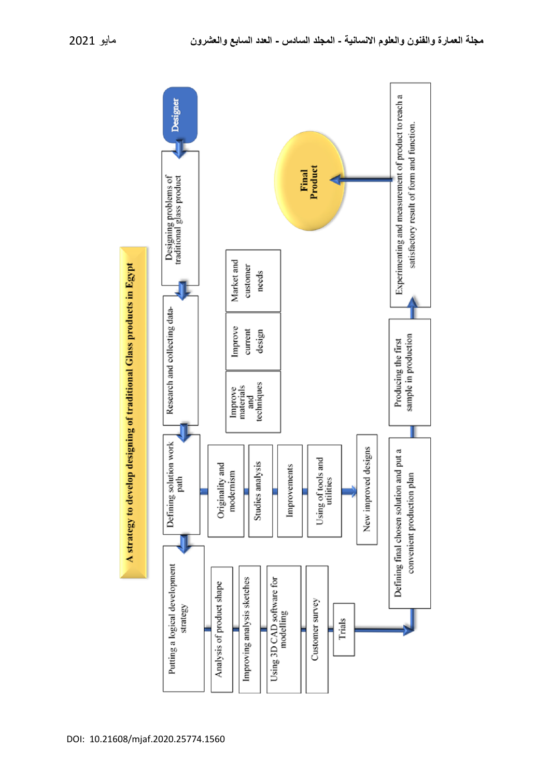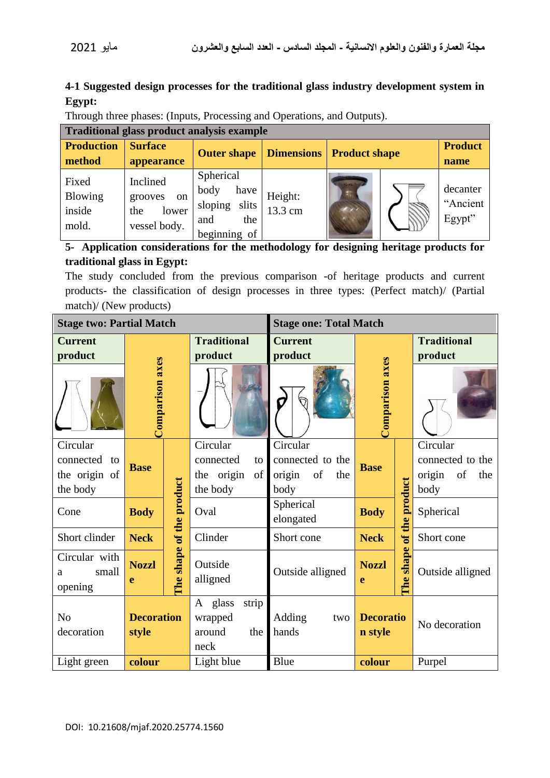# **4-1 Suggested design processes for the traditional glass industry development system in Egypt:**

Through three phases: (Inputs, Processing and Operations, and Outputs).

| <b>Traditional glass product analysis example</b> |                                                                      |                                                                                |                    |                      |  |                                |  |
|---------------------------------------------------|----------------------------------------------------------------------|--------------------------------------------------------------------------------|--------------------|----------------------|--|--------------------------------|--|
| <b>Production</b><br>method                       | <b>Surface</b><br>appearance                                         | <b>Outer shape</b>                                                             | <b>Dimensions</b>  | <b>Product shape</b> |  | <b>Product</b><br>name         |  |
| Fixed<br><b>Blowing</b><br>inside<br>mold.        | Inclined<br>grooves<br><sub>on</sub><br>lower<br>the<br>vessel body. | Spherical<br>body<br>have<br>sloping<br>slits<br>the<br>and<br>of<br>beginning | Height:<br>13.3 cm | 1102                 |  | decanter<br>"Ancient<br>Egypt" |  |

### 5- Application considerations for the methodology for designing heritage products for **traditional glass in Egypt:**

The study concluded from the previous comparison -of heritage products and current products- the classification of design processes in three types: (Perfect match)/ (Partial match)/ (New products)

| <b>Stage two: Partial Match</b> |                   |                | <b>Stage one: Total Match</b> |                     |                            |               |                     |  |
|---------------------------------|-------------------|----------------|-------------------------------|---------------------|----------------------------|---------------|---------------------|--|
| <b>Current</b>                  |                   |                | <b>Traditional</b>            | <b>Current</b>      |                            |               | <b>Traditional</b>  |  |
| product                         |                   |                | product                       | product             |                            |               | product             |  |
|                                 | Comparison axes   |                |                               | Comparison axes     |                            |               |                     |  |
| Circular                        |                   |                | Circular                      | Circular            |                            |               | Circular            |  |
| connected<br>to                 | <b>Base</b>       |                | connected<br>to               | connected to the    | <b>Base</b>                |               | connected to the    |  |
| the origin of                   |                   |                | the origin<br>of              | of<br>origin<br>the |                            |               | origin<br>of<br>the |  |
| the body                        |                   |                | the body                      | body                |                            |               | body                |  |
| Cone                            | <b>Body</b>       | of the product | Oval                          | Spherical           | the product<br><b>Body</b> |               | Spherical           |  |
|                                 |                   |                |                               | elongated           |                            |               |                     |  |
| Short clinder                   | <b>Neck</b>       |                | Clinder                       | Short cone          | <b>Neck</b>                | $\mathbf{d}$  | Short cone          |  |
| Circular with                   | <b>Nozzl</b>      |                | Outside                       |                     | <b>Nozzl</b>               | shape         |                     |  |
| small<br>a<br>opening           | e                 | The shape      | alligned                      | Outside alligned    | <b>Che</b><br>e            |               | Outside alligned    |  |
|                                 |                   |                | A glass<br>strip              |                     |                            |               |                     |  |
| N <sub>o</sub>                  | <b>Decoration</b> |                | wrapped                       | Adding              | <b>Decoratio</b><br>two    |               |                     |  |
| decoration                      | style             |                | the<br>around                 | hands<br>n style    |                            | No decoration |                     |  |
|                                 |                   |                | neck                          |                     |                            |               |                     |  |
| Light green                     | colour            |                | Light blue                    | Blue                | colour                     |               | Purpel              |  |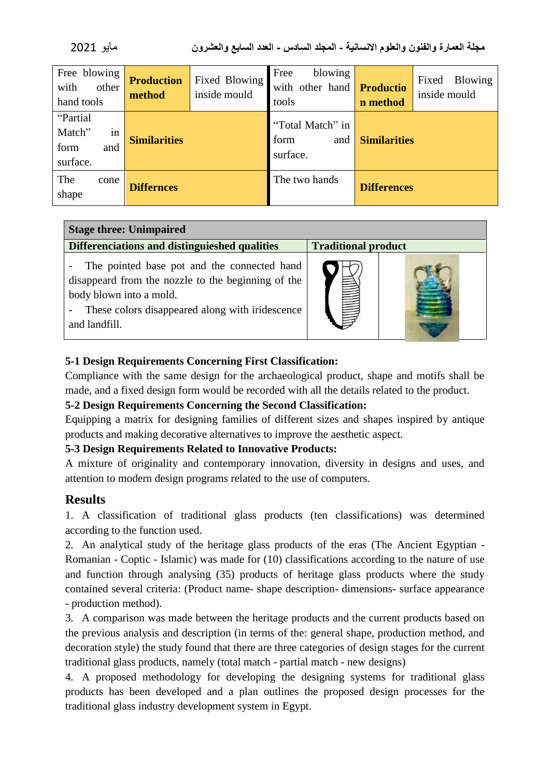| 2021 | مائه |
|------|------|
|------|------|

| Free blowing<br>with<br>other<br>hand tools         | <b>Production</b><br>method | Fixed Blowing<br>inside mould | blowing<br>Free<br>with other hand<br>tools | <b>Productio</b><br>n method | Fixed<br><b>Blowing</b><br>inside mould |  |
|-----------------------------------------------------|-----------------------------|-------------------------------|---------------------------------------------|------------------------------|-----------------------------------------|--|
| "Partial<br>Match"<br>1n<br>form<br>and<br>surface. | <b>Similarities</b>         |                               | "Total Match" in<br>form<br>and<br>surface. | <b>Similarities</b>          |                                         |  |
| The<br>cone<br>shape                                | <b>Differnces</b>           |                               | The two hands                               | <b>Differences</b>           |                                         |  |

| <b>Stage three: Unimpaired</b>                                                                                                                                                                   |                            |  |  |  |  |  |
|--------------------------------------------------------------------------------------------------------------------------------------------------------------------------------------------------|----------------------------|--|--|--|--|--|
| Differenciations and distinguieshed qualities                                                                                                                                                    | <b>Traditional product</b> |  |  |  |  |  |
| The pointed base pot and the connected hand<br>disappeard from the nozzle to the beginning of the<br>body blown into a mold.<br>These colors disappeared along with iridescence<br>and landfill. |                            |  |  |  |  |  |

#### **5-1 Design Requirements Concerning First Classification:**

Compliance with the same design for the archaeological product, shape and motifs shall be made, and a fixed design form would be recorded with all the details related to the product.

#### **5-2 Design Requirements Concerning the Second Classification:**

Equipping a matrix for designing families of different sizes and shapes inspired by antique products and making decorative alternatives to improve the aesthetic aspect.

#### **5-3 Design Requirements Related to Innovative Products:**

A mixture of originality and contemporary innovation, diversity in designs and uses, and attention to modern design programs related to the use of computers.

# **Results**

1. A classification of traditional glass products (ten classifications) was determined according to the function used.

2. An analytical study of the heritage glass products of the eras (The Ancient Egyptian - Romanian - Coptic - Islamic) was made for (10) classifications according to the nature of use and function through analysing (35) products of heritage glass products where the study contained several criteria: (Product name- shape description- dimensions- surface appearance - production method).

3. A comparison was made between the heritage products and the current products based on the previous analysis and description (in terms of the: general shape, production method, and decoration style) the study found that there are three categories of design stages for the current traditional glass products, namely (total match - partial match - new designs)

4. A proposed methodology for developing the designing systems for traditional glass products has been developed and a plan outlines the proposed design processes for the traditional glass industry development system in Egypt.